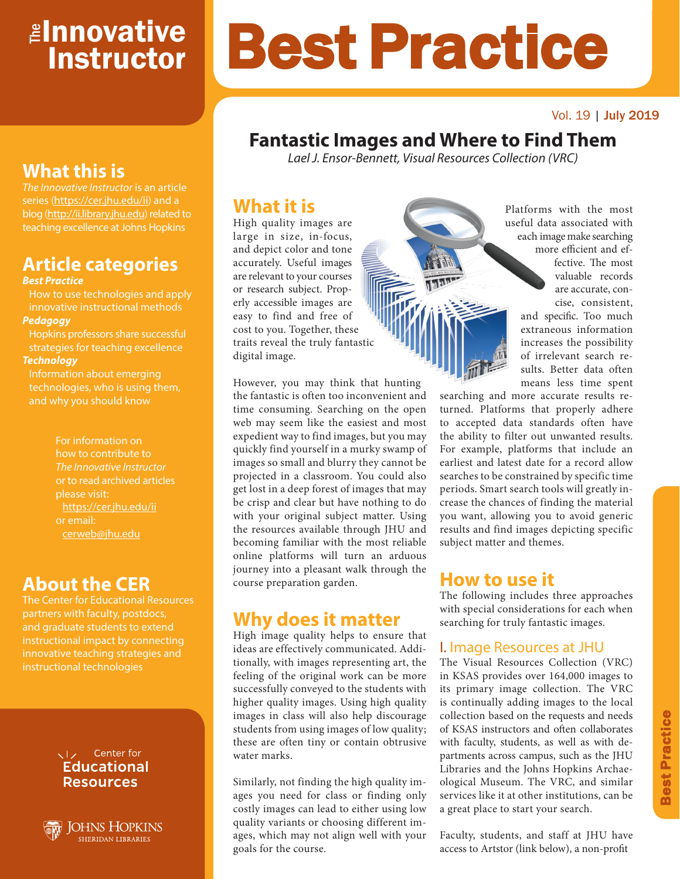# <mark>≇Innovative</mark> **Instructor**

#### Vol. 19 | July 2019

# **Fantastic Images and Where to Find Them**

Best Practice

*Lael J. Ensor-Bennett, Visual Resources Collection (VRC)*

### **What it is**

High quality images are large in size, in-focus, and depict color and tone accurately. Useful images are relevant to your courses or research subject. Properly accessible images are easy to find and free of cost to you. Together, these traits reveal the truly fantastic digital image.

Platforms with the most useful data associated with each image make searching

more efficient and effective. The most valuable records are accurate, concise, consistent, and specific. Too much extraneous information increases the possibility of irrelevant search results. Better data often

means less time spent

searching and more accurate results returned. Platforms that properly adhere to accepted data standards often have the ability to filter out unwanted results. For example, platforms that include an earliest and latest date for a record allow searches to be constrained by specific time periods. Smart search tools will greatly increase the chances of finding the material you want, allowing you to avoid generic results and find images depicting specific subject matter and themes.

### **How to use it**

The following includes three approaches with special considerations for each when searching for truly fantastic images.

### I. Image Resources at JHU

The Visual Resources Collection (VRC) in KSAS provides over 164,000 images to its primary image collection. The VRC is continually adding images to the local collection based on the requests and needs of KSAS instructors and often collaborates with faculty, students, as well as with departments across campus, such as the JHU Libraries and the Johns Hopkins Archaeological Museum. The VRC, and similar services like it at other institutions, can be a great place to start your search.

Faculty, students, and staff at JHU have access to Artstor (link below), a non-profit

# **What this is**

*The Innovative Instructor* is an article series (https://cer.jhu.edu/ii) and a blog (http://ii.library.jhu.edu) related to teaching excellence at Johns Hopkins

# **Article categories**

#### *Best Practice*

How to use technologies and apply innovative instructional methods *Pedagogy*

Hopkins professors share successful strategies for teaching excellence *Technology*

Information about emerging technologies, who is using them, and why you should know

> For information on how to contribute to *The Innovative Instructor* or to read archived articles please visit: https://cer.jhu.edu/ii or email: cerweb@jhu.edu

### **About the CER**

The Center for Educational Resources and graduate students to extend innovative teaching strategies and instructional technologies

#### VI<sub>z</sub> Center for **Educational Resources**



However, you may think that hunting the fantastic is often too inconvenient and time consuming. Searching on the open web may seem like the easiest and most expedient way to find images, but you may quickly find yourself in a murky swamp of images so small and blurry they cannot be projected in a classroom. You could also get lost in a deep forest of images that may be crisp and clear but have nothing to do with your original subject matter. Using the resources available through JHU and becoming familiar with the most reliable online platforms will turn an arduous journey into a pleasant walk through the course preparation garden.

## **Why does it matter**

High image quality helps to ensure that ideas are effectively communicated. Additionally, with images representing art, the feeling of the original work can be more successfully conveyed to the students with higher quality images. Using high quality images in class will also help discourage students from using images of low quality; these are often tiny or contain obtrusive water marks.

Similarly, not finding the high quality images you need for class or finding only costly images can lead to either using low quality variants or choosing different images, which may not align well with your goals for the course.